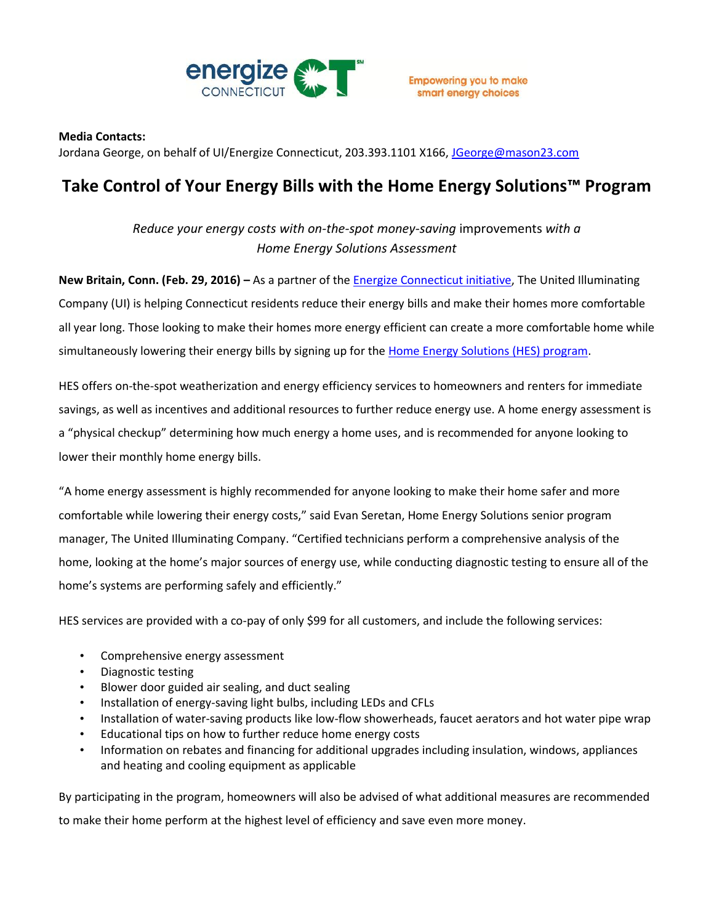

## **Media Contacts:**

Jordana George, on behalf of UI/Energize Connecticut, 203.393.1101 X166, [JGeorge@mason23.com](mailto:JGeorge@mason23.com)

## **Take Control of Your Energy Bills with the Home Energy Solutions™ Program**

*Reduce your energy costs with on-the-spot money-saving* improvements *with a Home Energy Solutions Assessment*

**New Britain, Conn. (Feb. 29, 2016) –** As a partner of the [Energize Connecticut](http://www.energizect.com/?utm_campaign=hes&utm_medium=public-relations&utm_source=media-list&utm_content=&utm_term=) initiative, The United Illuminating Company (UI) is helping Connecticut residents reduce their energy bills and make their homes more comfortable all year long. Those looking to make their homes more energy efficient can create a more comfortable home while simultaneously lowering their energy bills by signing up for the [Home Energy Solutions \(HES\) program.](http://www.energizect.com/your-home/solutions-list/home-energy-solutions-core-services)

HES offers on-the-spot weatherization and energy efficiency services to homeowners and renters for immediate savings, as well as incentives and additional resources to further reduce energy use. A home energy assessment is a "physical checkup" determining how much energy a home uses, and is recommended for anyone looking to lower their monthly home energy bills.

"A home energy assessment is highly recommended for anyone looking to make their home safer and more comfortable while lowering their energy costs," said Evan Seretan, Home Energy Solutions senior program manager, The United Illuminating Company. "Certified technicians perform a comprehensive analysis of the home, looking at the home's major sources of energy use, while conducting diagnostic testing to ensure all of the home's systems are performing safely and efficiently."

HES services are provided with a co-pay of only \$99 for all customers, and include the following services:

- Comprehensive energy assessment
- Diagnostic testing
- Blower door guided air sealing, and duct sealing
- Installation of energy-saving light bulbs, including LEDs and CFLs
- Installation of water-saving products like low-flow showerheads, faucet aerators and hot water pipe wrap
- Educational tips on how to further reduce home energy costs
- Information on rebates and financing for additional upgrades including insulation, windows, appliances and heating and cooling equipment as applicable

By participating in the program, homeowners will also be advised of what additional measures are recommended to make their home perform at the highest level of efficiency and save even more money.